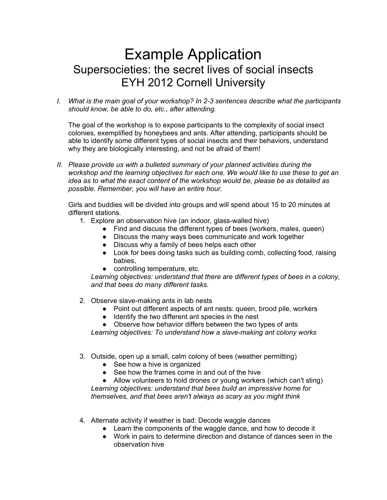## Example Application Supersocieties: the secret lives of social insects EYH 2012 Cornell University

*I. What is the main goal of your workshop? In 2-3 sentences describe what the participants should know, be able to do, etc., after attending.*

The goal of the workshop is to expose participants to the complexity of social insect colonies, exemplified by honeybees and ants. After attending, participants should be able to identify some different types of social insects and their behaviors, understand why they are biologically interesting, and not be afraid of them!

*II. Please provide us with a bulleted summary of your planned activities during the workshop and the learning objectives for each one. We would like to use these to get an idea as to what the exact content of the workshop would be, please be as detailed as possible. Remember, you will have an entire hour.*

Girls and buddies will be divided into groups and will spend about 15 to 20 minutes at different stations.

- 1. Explore an observation hive (an indoor, glass-walled hive)
	- Find and discuss the different types of bees (workers, males, queen)
	- Discuss the many ways bees communicate and work together
	- Discuss why a family of bees helps each other
	- Look for bees doing tasks such as building comb, collecting food, raising babies,
	- controlling temperature, etc.

*Learning objectives: understand that there are different types of bees in a colony, and that bees do many different tasks.*

- 2. Observe slave-making ants in lab nests
	- Point out different aspects of ant nests: queen, brood pile, workers
	- Identify the two different ant species in the nest
	- Observe how behavior differs between the two types of ants

*Learning objectives: To understand how a slave-making ant colony works*

- 3. Outside, open up a small, calm colony of bees (weather permitting)
	- See how a hive is organized
	- See how the frames come in and out of the hive

• Allow volunteers to hold drones or young workers (which can't sting) *Learning objectives: understand that bees build an impressive home for themselves, and that bees aren't always as scary as you might think*

- 4. Alternate activity if weather is bad: Decode waggle dances
	- Learn the components of the waggle dance, and how to decode it
	- Work in pairs to determine direction and distance of dances seen in the observation hive